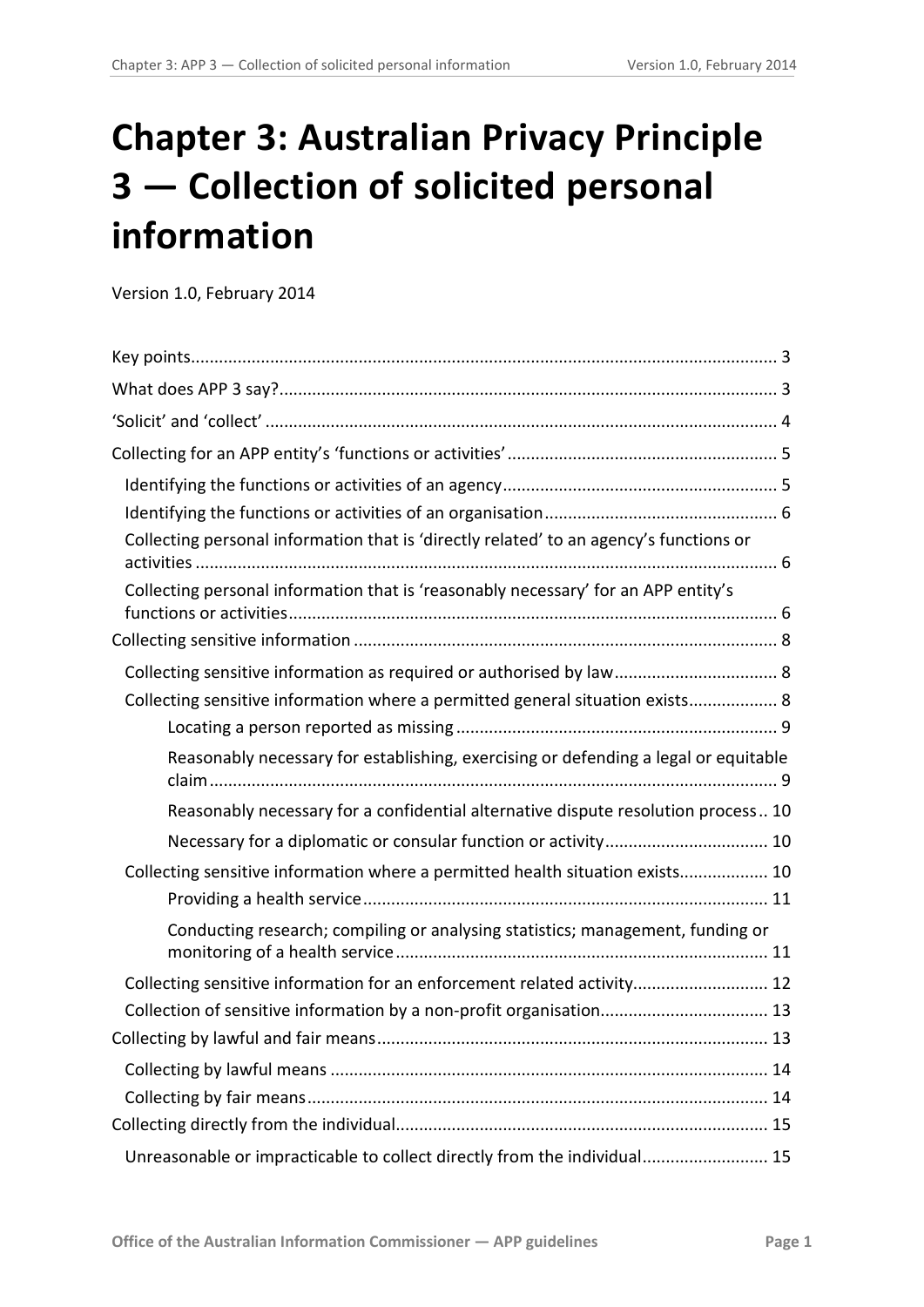# **Chapter 3: Australian Privacy Principle 3 — Collection of solicited personal information**

Version 1.0, February 2014

| Collecting personal information that is 'directly related' to an agency's functions or |  |
|----------------------------------------------------------------------------------------|--|
| Collecting personal information that is 'reasonably necessary' for an APP entity's     |  |
|                                                                                        |  |
|                                                                                        |  |
| Collecting sensitive information where a permitted general situation exists 8          |  |
|                                                                                        |  |
| Reasonably necessary for establishing, exercising or defending a legal or equitable    |  |
| Reasonably necessary for a confidential alternative dispute resolution process 10      |  |
|                                                                                        |  |
| Collecting sensitive information where a permitted health situation exists 10          |  |
|                                                                                        |  |
| Conducting research; compiling or analysing statistics; management, funding or         |  |
| Collecting sensitive information for an enforcement related activity 12                |  |
| Collection of sensitive information by a non-profit organisation 13                    |  |
|                                                                                        |  |
|                                                                                        |  |
|                                                                                        |  |
|                                                                                        |  |
| Unreasonable or impracticable to collect directly from the individual 15               |  |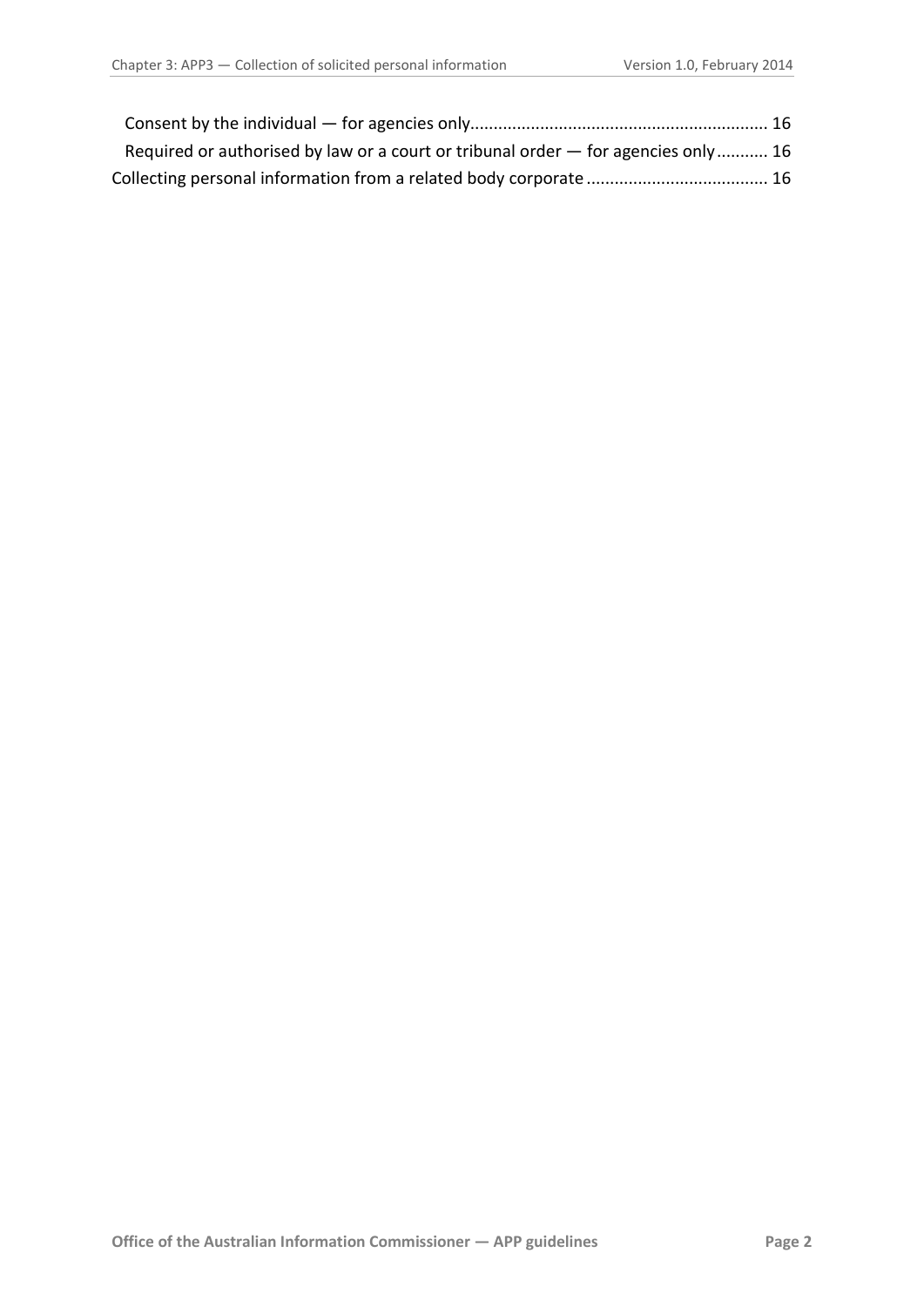<span id="page-1-0"></span>

| Required or authorised by law or a court or tribunal order – for agencies only  16 |  |
|------------------------------------------------------------------------------------|--|
|                                                                                    |  |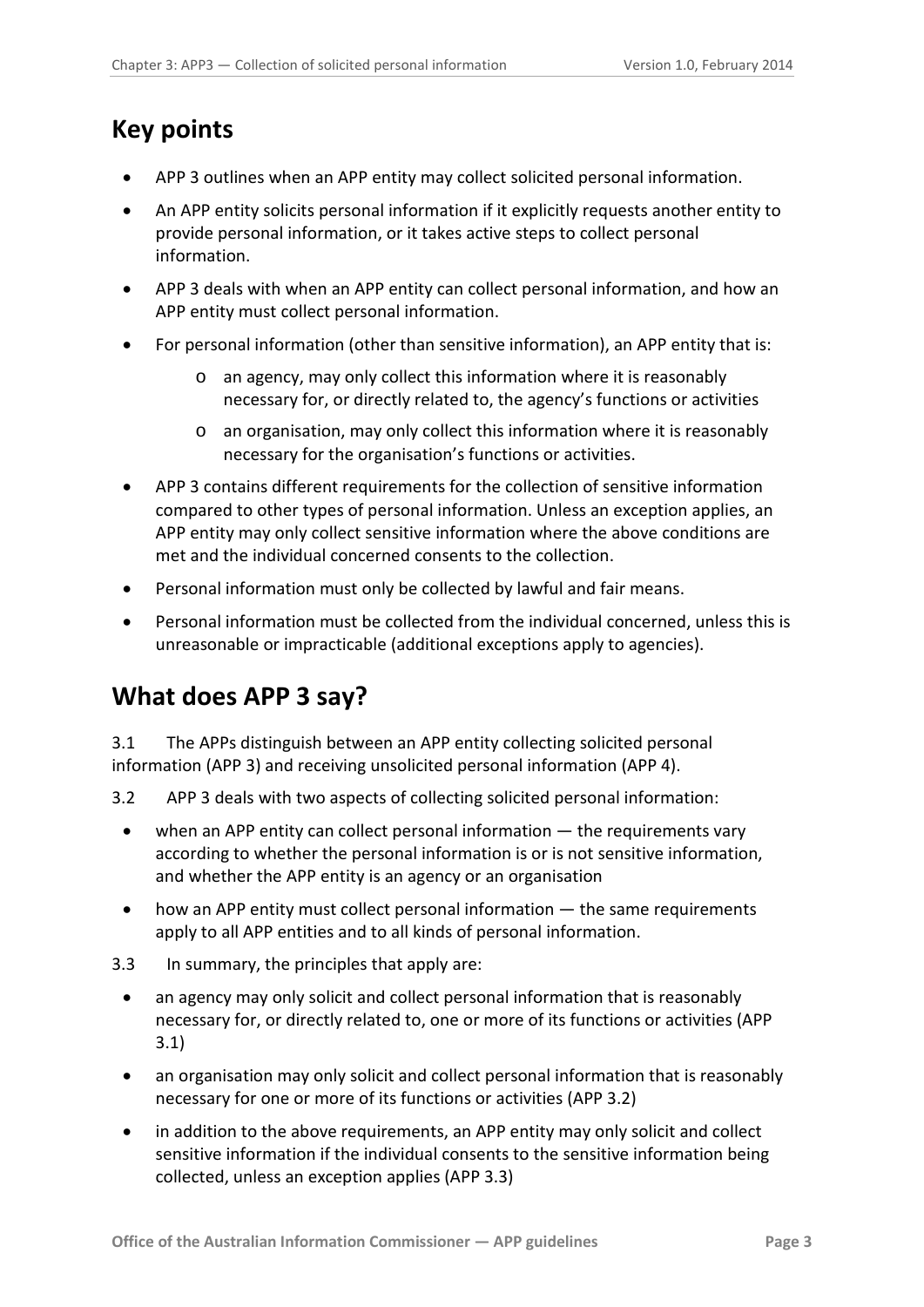# <span id="page-2-0"></span>**Key points**

- APP 3 outlines when an APP entity may collect solicited personal information.
- An APP entity solicits personal information if it explicitly requests another entity to provide personal information, or it takes active steps to collect personal information.
- APP 3 deals with when an APP entity can collect personal information, and how an APP entity must collect personal information.
- For personal information (other than sensitive information), an APP entity that is:
	- o an agency, may only collect this information where it is reasonably necessary for, or directly related to, the agency's functions or activities
	- o an organisation, may only collect this information where it is reasonably necessary for the organisation's functions or activities.
- APP 3 contains different requirements for the collection of sensitive information compared to other types of personal information. Unless an exception applies, an APP entity may only collect sensitive information where the above conditions are met and the individual concerned consents to the collection.
- Personal information must only be collected by lawful and fair means.
- Personal information must be collected from the individual concerned, unless this is unreasonable or impracticable (additional exceptions apply to agencies).

# <span id="page-2-1"></span>**What does APP 3 say?**

3.1 The APPs distinguish between an APP entity collecting solicited personal information (APP 3) and receiving unsolicited personal information (APP 4).

- 3.2 APP 3 deals with two aspects of collecting solicited personal information:
	- when an APP entity can collect personal information the requirements vary according to whether the personal information is or is not sensitive information, and whether the APP entity is an agency or an organisation
	- how an APP entity must collect personal information the same requirements apply to all APP entities and to all kinds of personal information.
- 3.3 In summary, the principles that apply are:
	- an agency may only solicit and collect personal information that is reasonably necessary for, or directly related to, one or more of its functions or activities (APP 3.1)
	- an organisation may only solicit and collect personal information that is reasonably necessary for one or more of its functions or activities (APP 3.2)
	- in addition to the above requirements, an APP entity may only solicit and collect sensitive information if the individual consents to the sensitive information being collected, unless an exception applies (APP 3.3)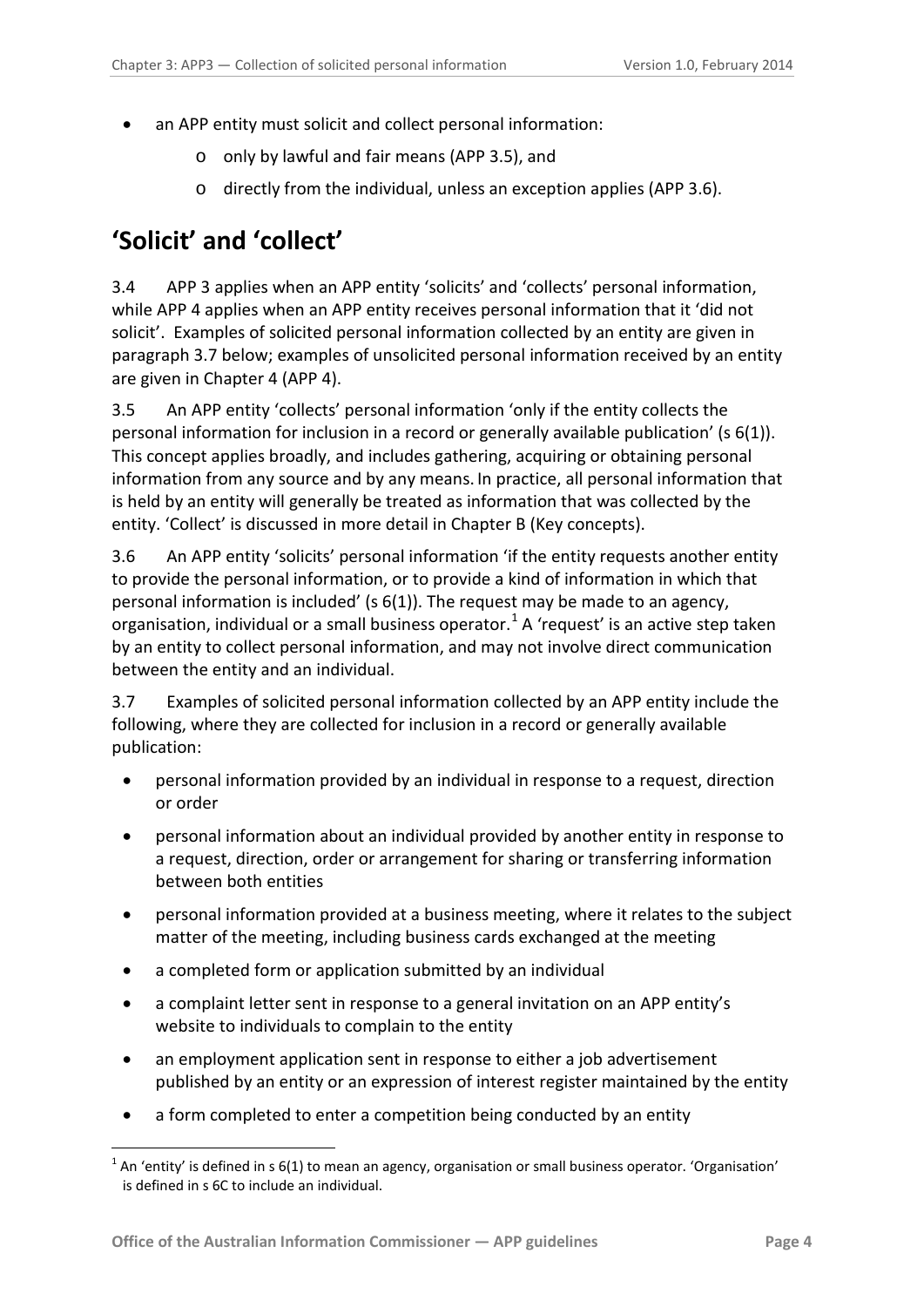- an APP entity must solicit and collect personal information:
	- o only by lawful and fair means (APP 3.5), and
	- o directly from the individual, unless an exception applies (APP 3.6).

# <span id="page-3-0"></span>**'Solicit' and 'collect'**

3.4 APP 3 applies when an APP entity 'solicits' and 'collects' personal information, while APP 4 applies when an APP entity receives personal information that it 'did not solicit'. Examples of solicited personal information collected by an entity are given in paragraph [3.7](#page-3-1) below; examples of unsolicited personal information received by an entity are given in Chapter 4 (APP 4).

3.5 An APP entity 'collects' personal information 'only if the entity collects the personal information for inclusion in a record or generally available publication' (s 6(1)). This concept applies broadly, and includes gathering, acquiring or obtaining personal information from any source and by any means. In practice, all personal information that is held by an entity will generally be treated as information that was collected by the entity. 'Collect' is discussed in more detail in Chapter B (Key concepts).

3.6 An APP entity 'solicits' personal information 'if the entity requests another entity to provide the personal information, or to provide a kind of information in which that personal information is included' (s 6(1)). The request may be made to an agency, organisation, individual or a small business operator.<sup>[1](#page-1-0)</sup> A 'request' is an active step taken by an entity to collect personal information, and may not involve direct communication between the entity and an individual.

<span id="page-3-1"></span>3.7 Examples of solicited personal information collected by an APP entity include the following, where they are collected for inclusion in a record or generally available publication:

- personal information provided by an individual in response to a request, direction or order
- personal information about an individual provided by another entity in response to a request, direction, order or arrangement for sharing or transferring information between both entities
- personal information provided at a business meeting, where it relates to the subject matter of the meeting, including business cards exchanged at the meeting
- a completed form or application submitted by an individual
- a complaint letter sent in response to a general invitation on an APP entity's website to individuals to complain to the entity
- <span id="page-3-2"></span>an employment application sent in response to either a job advertisement published by an entity or an expression of interest register maintained by the entity
- a form completed to enter a competition being conducted by an entity

1

<sup>1</sup> An 'entity' is defined in s 6(1) to mean an agency, organisation or small business operator. 'Organisation' is defined in s 6C to include an individual.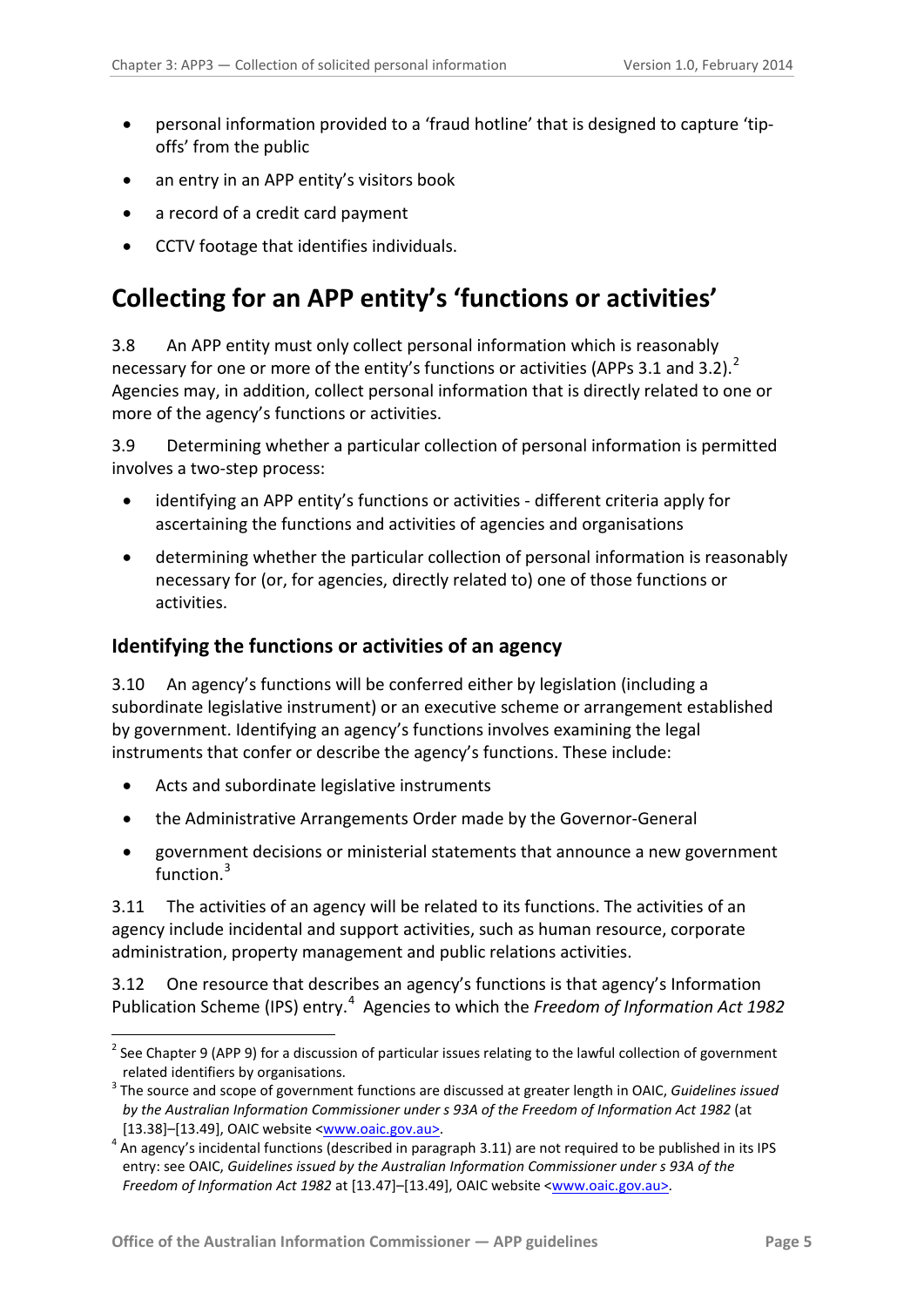- personal information provided to a 'fraud hotline' that is designed to capture 'tipoffs' from the public
- an entry in an APP entity's visitors book
- a record of a credit card payment
- CCTV footage that identifies individuals.

# <span id="page-4-0"></span>**Collecting for an APP entity's 'functions or activities'**

<span id="page-4-7"></span>3.8 An APP entity must only collect personal information which is reasonably necessary for one or more of the entity's functions or activities (APPs 3.1 and 3.[2](#page-3-2)).<sup>2</sup> Agencies may, in addition, collect personal information that is directly related to one or more of the agency's functions or activities.

3.9 Determining whether a particular collection of personal information is permitted involves a two-step process:

- identifying an APP entity's functions or activities different criteria apply for ascertaining the functions and activities of agencies and organisations
- determining whether the particular collection of personal information is reasonably necessary for (or, for agencies, directly related to) one of those functions or activities.

### <span id="page-4-1"></span>**Identifying the functions or activities of an agency**

<span id="page-4-5"></span>3.10 An agency's functions will be conferred either by legislation (including a subordinate legislative instrument) or an executive scheme or arrangement established by government. Identifying an agency's functions involves examining the legal instruments that confer or describe the agency's functions. These include:

• Acts and subordinate legislative instruments

-

- the Administrative Arrangements Order made by the Governor-General
- government decisions or ministerial statements that announce a new government function.<sup>[3](#page-4-2)</sup>

3.11 The activities of an agency will be related to its functions. The activities of an agency include incidental and support activities, such as human resource, corporate administration, property management and public relations activities.

<span id="page-4-6"></span>3.12 One resource that describes an agency's functions is that agency's Information Publication Scheme (IPS) entry.<sup>[4](#page-4-3)</sup> Agencies to which the *Freedom of Information Act 1982* 

 $2$  See Chapter 9 (APP 9) for a discussion of particular issues relating to the lawful collection of government

<span id="page-4-2"></span>related identifiers by organisations. <sup>3</sup> The source and scope of government functions are discussed at greater length in OAIC, *Guidelines issued by the Australian Information Commissioner under s 93A of the Freedom of Information Act 1982* (at

<span id="page-4-4"></span><span id="page-4-3"></span><sup>[13.38]–[13.49],</sup> OAIC website <<u>www.oaic.gov.au></u>.<br><sup>4</sup> An agency's incidental functions (described in paragraph 3.11) are not required to be published in its IPS entry: see OAIC, *Guidelines issued by the Australian Information Commissioner under s 93A of the Freedom of Information Act 1982* at [13.47]–[13.49], OAIC website [<www.oaic.gov.au>](http://www.oaic.gov.au/).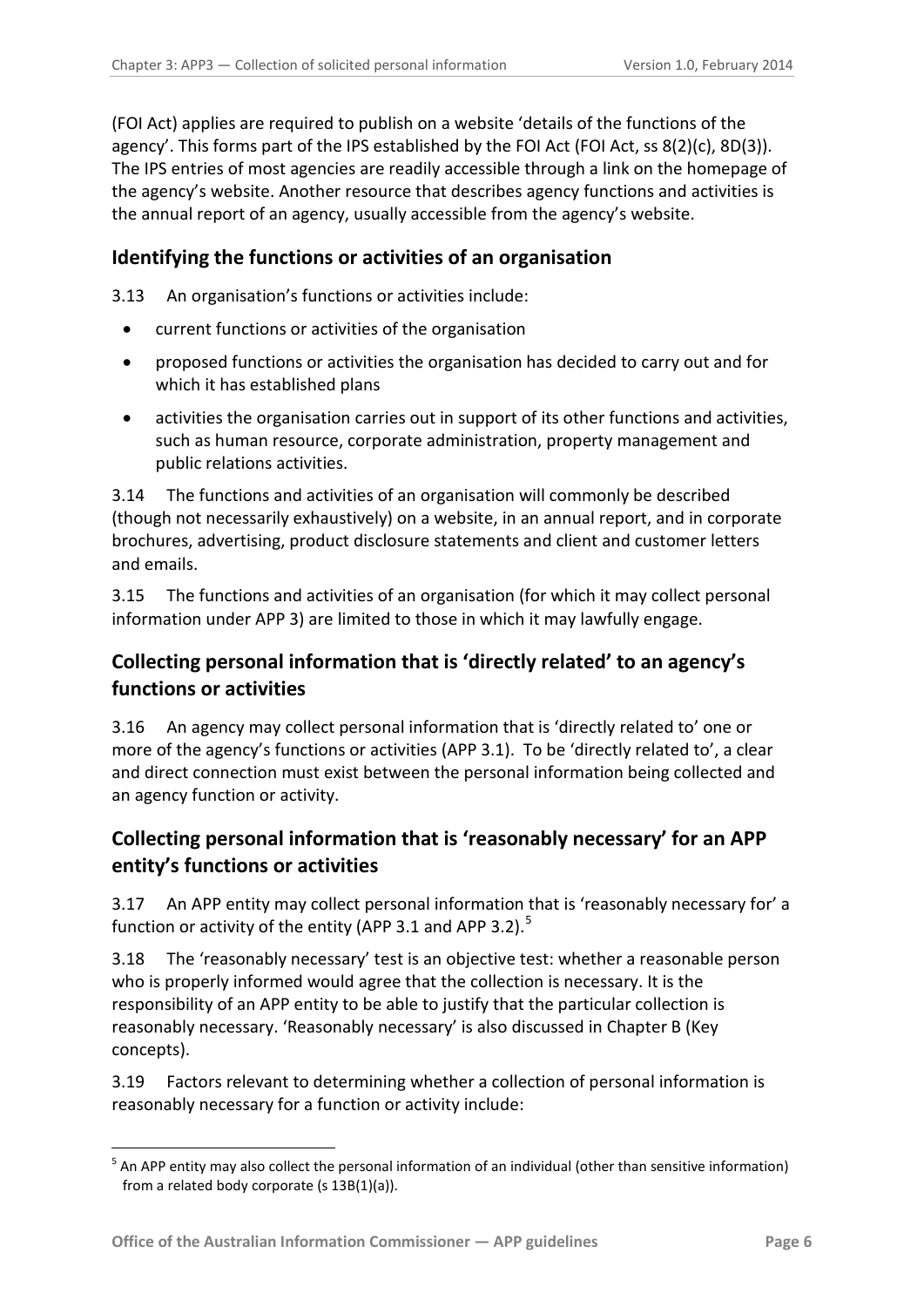(FOI Act) applies are required to publish on a website 'details of the functions of the agency'. This forms part of the IPS established by the FOI Act (FOI Act, ss 8(2)(c), 8D(3)). The IPS entries of most agencies are readily accessible through a link on the homepage of the agency's website. Another resource that describes agency functions and activities is the annual report of an agency, usually accessible from the agency's website.

### <span id="page-5-0"></span>**Identifying the functions or activities of an organisation**

3.13 An organisation's functions or activities include:

- current functions or activities of the organisation
- proposed functions or activities the organisation has decided to carry out and for which it has established plans
- activities the organisation carries out in support of its other functions and activities, such as human resource, corporate administration, property management and public relations activities.

3.14 The functions and activities of an organisation will commonly be described (though not necessarily exhaustively) on a website, in an annual report, and in corporate brochures, advertising, product disclosure statements and client and customer letters and emails.

3.15 The functions and activities of an organisation (for which it may collect personal information under APP 3) are limited to those in which it may lawfully engage.

# <span id="page-5-1"></span>**Collecting personal information that is 'directly related' to an agency's functions or activities**

<span id="page-5-4"></span>3.16 An agency may collect personal information that is 'directly related to' one or more of the agency's functions or activities (APP 3.1). To be 'directly related to', a clear and direct connection must exist between the personal information being collected and an agency function or activity.

# <span id="page-5-2"></span>**Collecting personal information that is 'reasonably necessary' for an APP entity's functions or activities**

3.17 An APP entity may collect personal information that is 'reasonably necessary for' a function or activity of the entity (APP 3.1 and APP 3.2).<sup>[5](#page-4-4)</sup>

3.18 The 'reasonably necessary' test is an objective test: whether a reasonable person who is properly informed would agree that the collection is necessary. It is the responsibility of an APP entity to be able to justify that the particular collection is reasonably necessary. 'Reasonably necessary' is also discussed in Chapter B (Key concepts).

<span id="page-5-3"></span>3.19 Factors relevant to determining whether a collection of personal information is reasonably necessary for a function or activity include:

1

<sup>&</sup>lt;sup>5</sup> An APP entity may also collect the personal information of an individual (other than sensitive information) from a related body corporate (s 13B(1)(a)).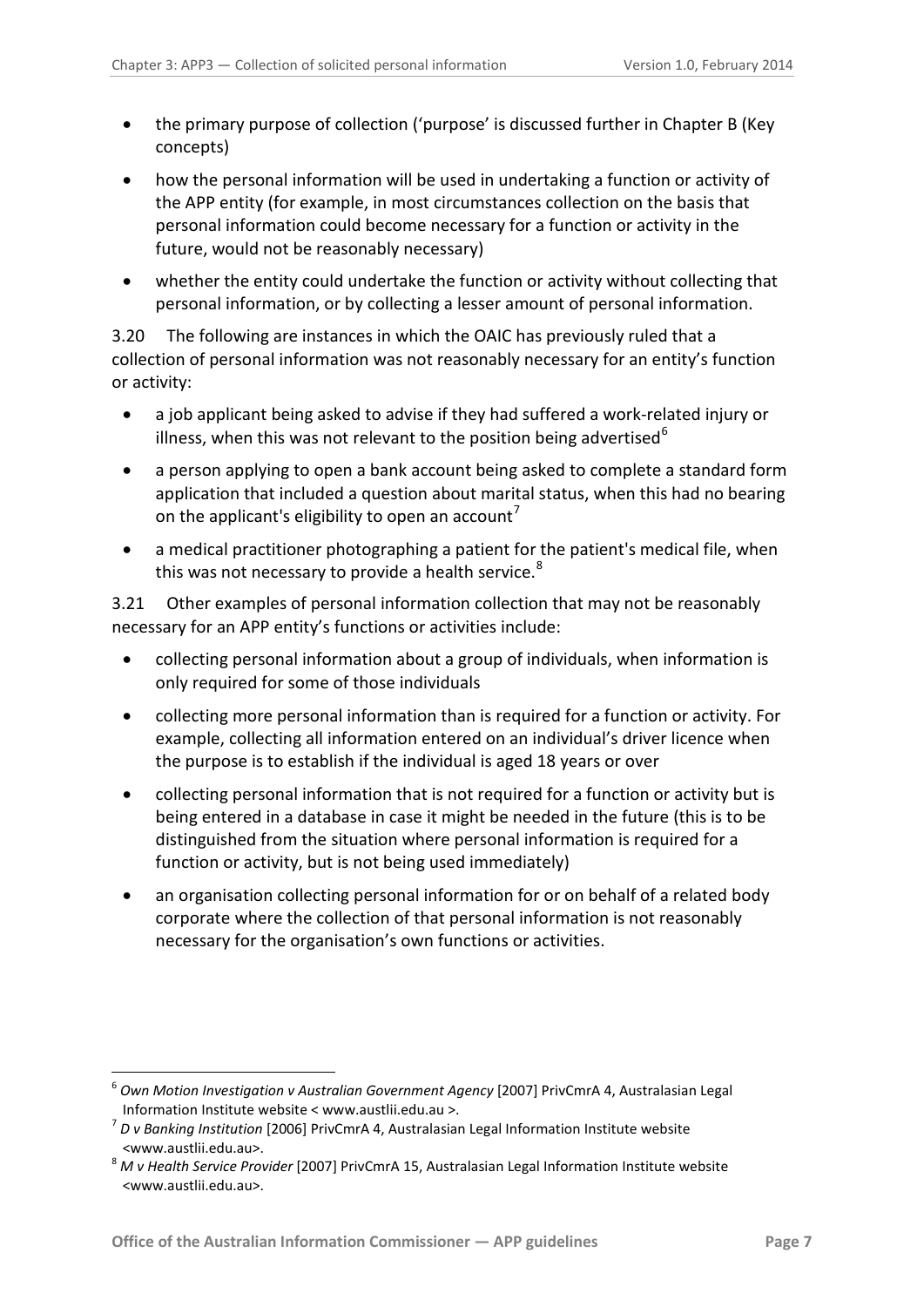- the primary purpose of collection ('purpose' is discussed further in Chapter B (Key concepts)
- how the personal information will be used in undertaking a function or activity of the APP entity (for example, in most circumstances collection on the basis that personal information could become necessary for a function or activity in the future, would not be reasonably necessary)
- whether the entity could undertake the function or activity without collecting that personal information, or by collecting a lesser amount of personal information.

3.20 The following are instances in which the OAIC has previously ruled that a collection of personal information was not reasonably necessary for an entity's function or activity:

- a job applicant being asked to advise if they had suffered a work-related injury or illness, when this was not relevant to the position being advertised  $6<sup>6</sup>$  $6<sup>6</sup>$
- a person applying to open a bank account being asked to complete a standard form application that included a question about marital status, when this had no bearing on the applicant's eligibility to open an account'
- a medical practitioner photographing a patient for the patient's medical file, when this was not necessary to provide a health service.<sup>[8](#page-6-1)</sup>

<span id="page-6-3"></span>3.21 Other examples of personal information collection that may not be reasonably necessary for an APP entity's functions or activities include:

- collecting personal information about a group of individuals, when information is only required for some of those individuals
- collecting more personal information than is required for a function or activity. For example, collecting all information entered on an individual's driver licence when the purpose is to establish if the individual is aged 18 years or over
- collecting personal information that is not required for a function or activity but is being entered in a database in case it might be needed in the future (this is to be distinguished from the situation where personal information is required for a function or activity, but is not being used immediately)
- an organisation collecting personal information for or on behalf of a related body corporate where the collection of that personal information is not reasonably necessary for the organisation's own functions or activities.

<sup>6</sup> *Own Motion Investigation v Australian Government Agency* [2007] PrivCmrA 4, Australasian Legal Information Institute website < www.austlii.edu.au >. <sup>7</sup> *D v Banking Institution* [2006] PrivCmrA 4, Australasian Legal Information Institute website

<span id="page-6-0"></span>

<span id="page-6-2"></span><span id="page-6-1"></span><sup>&</sup>lt;www.austlii.edu.au>. 8 *M v Health Service Provider* [2007] PrivCmrA 15, Australasian Legal Information Institute website <www.austlii.edu.au>.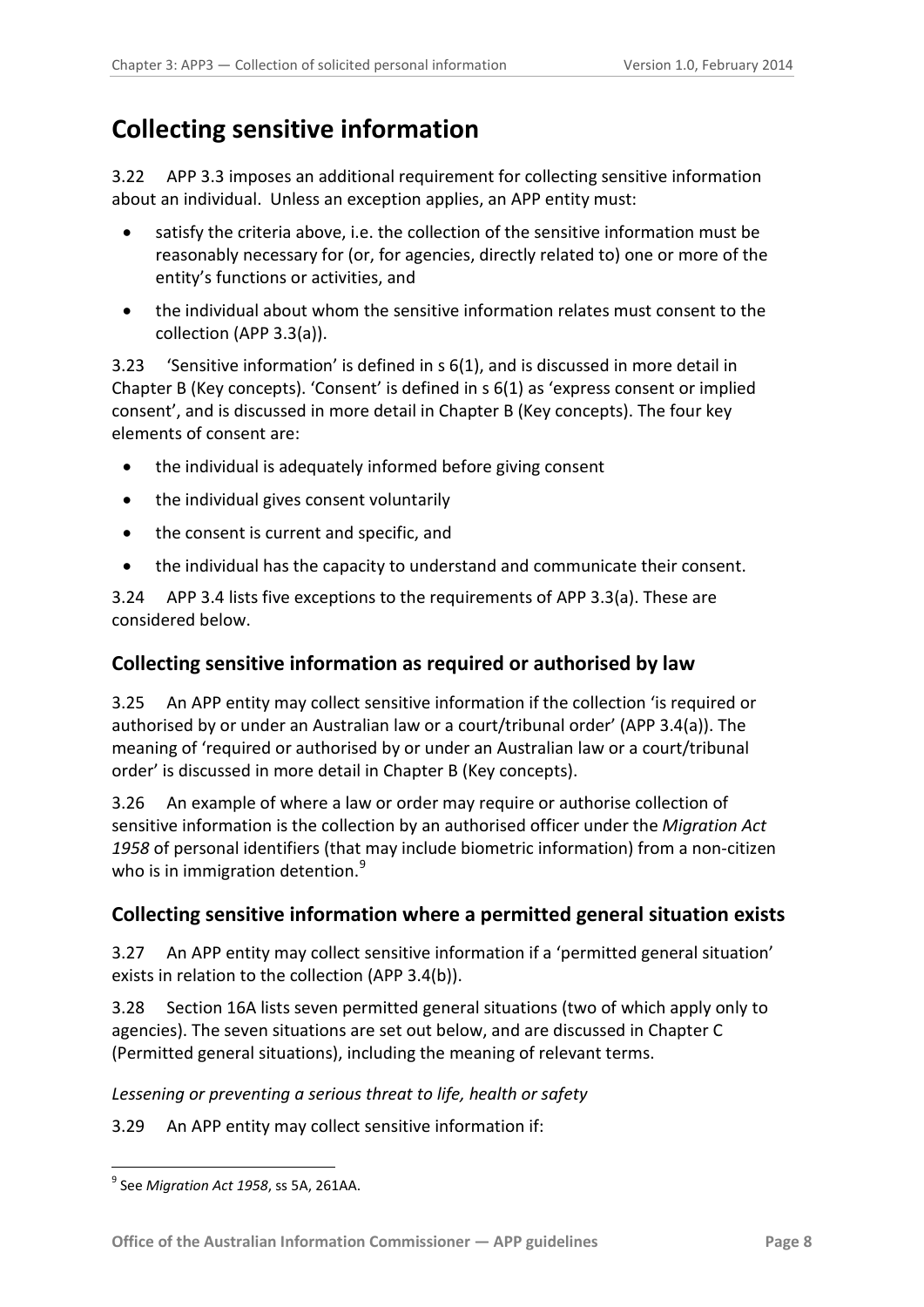# <span id="page-7-0"></span>**Collecting sensitive information**

3.22 APP 3.3 imposes an additional requirement for collecting sensitive information about an individual. Unless an exception applies, an APP entity must:

- satisfy the criteria above, i.e. the collection of the sensitive information must be reasonably necessary for (or, for agencies, directly related to) one or more of the entity's functions or activities, and
- the individual about whom the sensitive information relates must consent to the collection (APP 3.3(a)).

<span id="page-7-4"></span>3.23 'Sensitive information' is defined in s 6(1), and is discussed in more detail in Chapter B (Key concepts). 'Consent' is defined in s 6(1) as 'express consent or implied consent', and is discussed in more detail in Chapter B (Key concepts). The four key elements of consent are:

- the individual is adequately informed before giving consent
- the individual gives consent voluntarily
- the consent is current and specific, and
- the individual has the capacity to understand and communicate their consent.

3.24 APP 3.4 lists five exceptions to the requirements of APP 3.3(a). These are considered below.

### <span id="page-7-1"></span>**Collecting sensitive information as required or authorised by law**

3.25 An APP entity may collect sensitive information if the collection 'is required or authorised by or under an Australian law or a court/tribunal order' (APP 3.4(a)). The meaning of 'required or authorised by or under an Australian law or a court/tribunal order' is discussed in more detail in Chapter B (Key concepts).

3.26 An example of where a law or order may require or authorise collection of sensitive information is the collection by an authorised officer under the *Migration Act 1958* of personal identifiers (that may include biometric information) from a non-citizen who is in immigration detention.<sup>[9](#page-6-2)</sup>

### <span id="page-7-2"></span>**Collecting sensitive information where a permitted general situation exists**

3.27 An APP entity may collect sensitive information if a 'permitted general situation' exists in relation to the collection (APP 3.4(b)).

3.28 Section 16A lists seven permitted general situations (two of which apply only to agencies). The seven situations are set out below, and are discussed in Chapter C (Permitted general situations), including the meaning of relevant terms.

*Lessening or preventing a serious threat to life, health or safety*

3.29 An APP entity may collect sensitive information if:

<span id="page-7-3"></span><sup>-</sup><sup>9</sup> See *Migration Act 1958*, ss 5A, 261AA.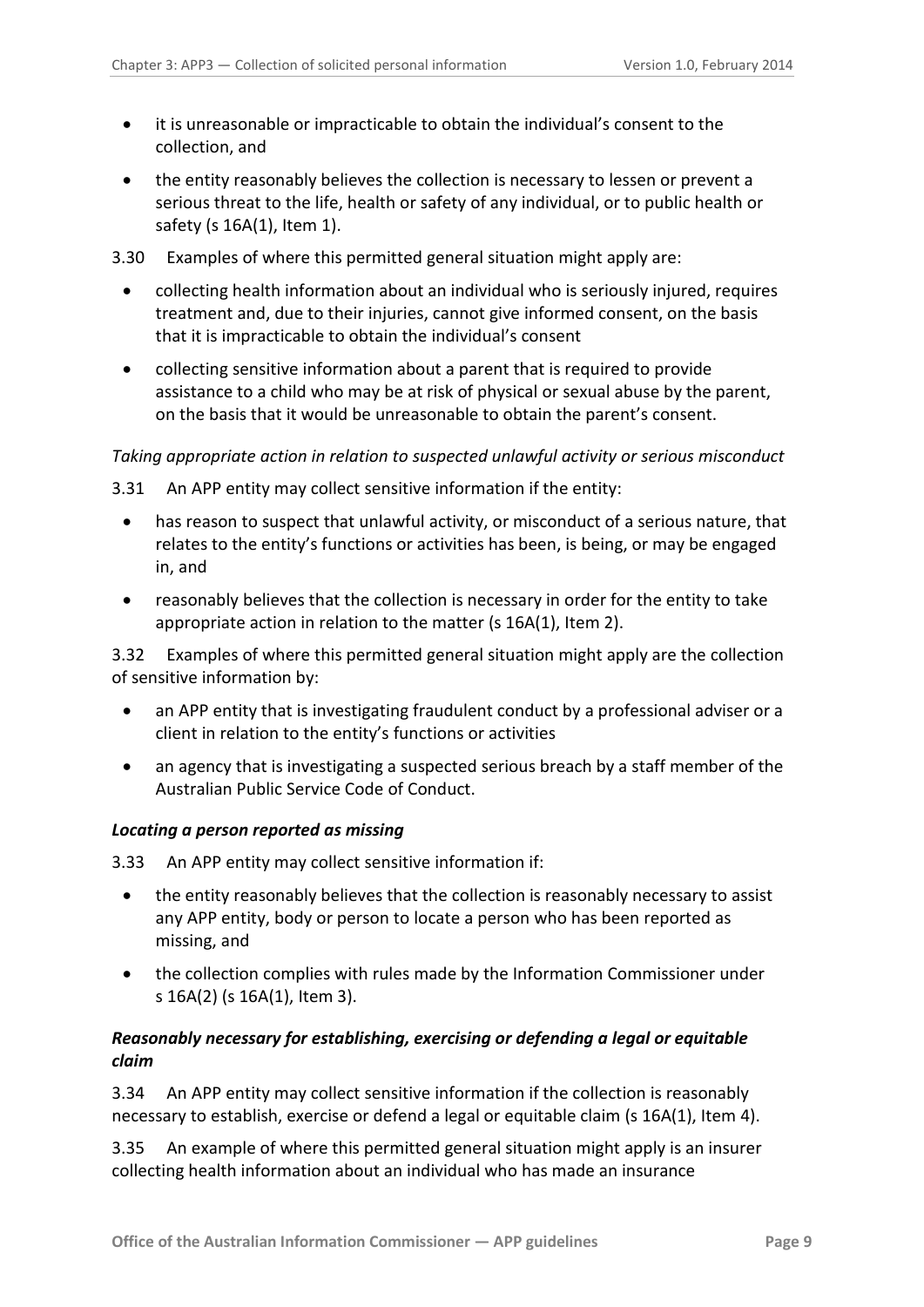- it is unreasonable or impracticable to obtain the individual's consent to the collection, and
- the entity reasonably believes the collection is necessary to lessen or prevent a serious threat to the life, health or safety of any individual, or to public health or safety (s 16A(1), Item 1).
- 3.30 Examples of where this permitted general situation might apply are:
	- collecting health information about an individual who is seriously injured, requires treatment and, due to their injuries, cannot give informed consent, on the basis that it is impracticable to obtain the individual's consent
	- collecting sensitive information about a parent that is required to provide assistance to a child who may be at risk of physical or sexual abuse by the parent, on the basis that it would be unreasonable to obtain the parent's consent.

#### *Taking appropriate action in relation to suspected unlawful activity or serious misconduct*

- 3.31 An APP entity may collect sensitive information if the entity:
	- has reason to suspect that unlawful activity, or misconduct of a serious nature, that relates to the entity's functions or activities has been, is being, or may be engaged in, and
	- reasonably believes that the collection is necessary in order for the entity to take appropriate action in relation to the matter (s 16A(1), Item 2).

3.32 Examples of where this permitted general situation might apply are the collection of sensitive information by:

- an APP entity that is investigating fraudulent conduct by a professional adviser or a client in relation to the entity's functions or activities
- an agency that is investigating a suspected serious breach by a staff member of the Australian Public Service Code of Conduct.

#### <span id="page-8-0"></span>*Locating a person reported as missing*

3.33 An APP entity may collect sensitive information if:

- the entity reasonably believes that the collection is reasonably necessary to assist any APP entity, body or person to locate a person who has been reported as missing, and
- the collection complies with rules made by the Information Commissioner under s 16A(2) (s 16A(1), Item 3).

#### <span id="page-8-1"></span>*Reasonably necessary for establishing, exercising or defending a legal or equitable claim*

3.34 An APP entity may collect sensitive information if the collection is reasonably necessary to establish, exercise or defend a legal or equitable claim (s 16A(1), Item 4).

3.35 An example of where this permitted general situation might apply is an insurer collecting health information about an individual who has made an insurance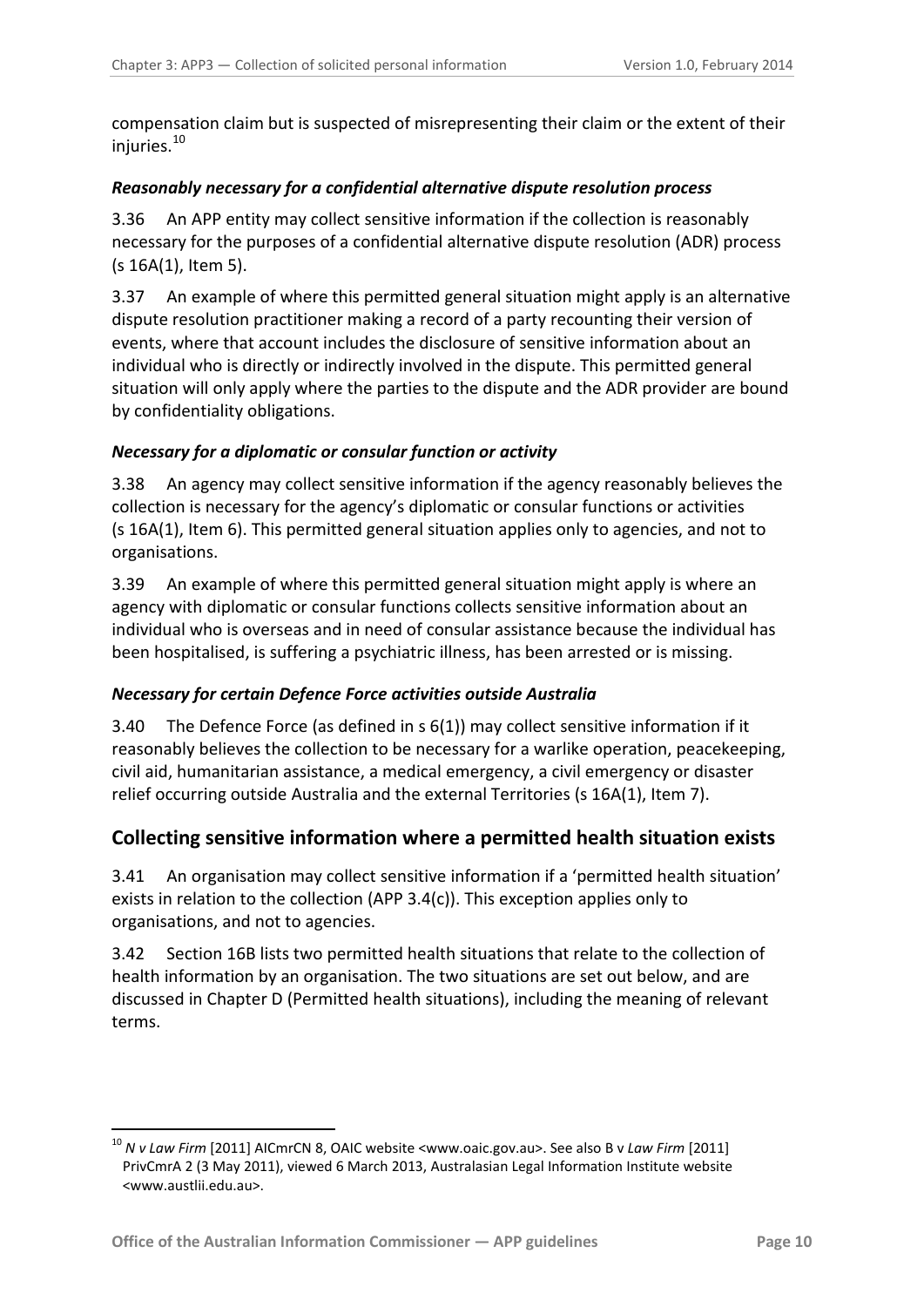compensation claim but is suspected of misrepresenting their claim or the extent of their injuries. [10](#page-7-3) 

#### <span id="page-9-0"></span>*Reasonably necessary for a confidential alternative dispute resolution process*

3.36 An APP entity may collect sensitive information if the collection is reasonably necessary for the purposes of a confidential alternative dispute resolution (ADR) process (s 16A(1), Item 5).

3.37 An example of where this permitted general situation might apply is an alternative dispute resolution practitioner making a record of a party recounting their version of events, where that account includes the disclosure of sensitive information about an individual who is directly or indirectly involved in the dispute. This permitted general situation will only apply where the parties to the dispute and the ADR provider are bound by confidentiality obligations.

#### <span id="page-9-1"></span>*Necessary for a diplomatic or consular function or activity*

3.38 An agency may collect sensitive information if the agency reasonably believes the collection is necessary for the agency's diplomatic or consular functions or activities (s 16A(1), Item 6). This permitted general situation applies only to agencies, and not to organisations.

3.39 An example of where this permitted general situation might apply is where an agency with diplomatic or consular functions collects sensitive information about an individual who is overseas and in need of consular assistance because the individual has been hospitalised, is suffering a psychiatric illness, has been arrested or is missing.

#### *Necessary for certain Defence Force activities outside Australia*

3.40 The Defence Force (as defined in s 6(1)) may collect sensitive information if it reasonably believes the collection to be necessary for a warlike operation, peacekeeping, civil aid, humanitarian assistance, a medical emergency, a civil emergency or disaster relief occurring outside Australia and the external Territories (s 16A(1), Item 7).

### <span id="page-9-2"></span>**Collecting sensitive information where a permitted health situation exists**

3.41 An organisation may collect sensitive information if a 'permitted health situation' exists in relation to the collection (APP 3.4(c)). This exception applies only to organisations, and not to agencies.

3.42 Section 16B lists two permitted health situations that relate to the collection of health information by an organisation. The two situations are set out below, and are discussed in Chapter D (Permitted health situations), including the meaning of relevant terms.

<span id="page-9-3"></span><sup>10</sup> *N v Law Firm* [2011] AICmrCN 8, OAIC website <www.oaic.gov.au>. See also B v *Law Firm* [2011] PrivCmrA 2 (3 May 2011), viewed 6 March 2013, Australasian Legal Information Institute website <www.austlii.edu.au>.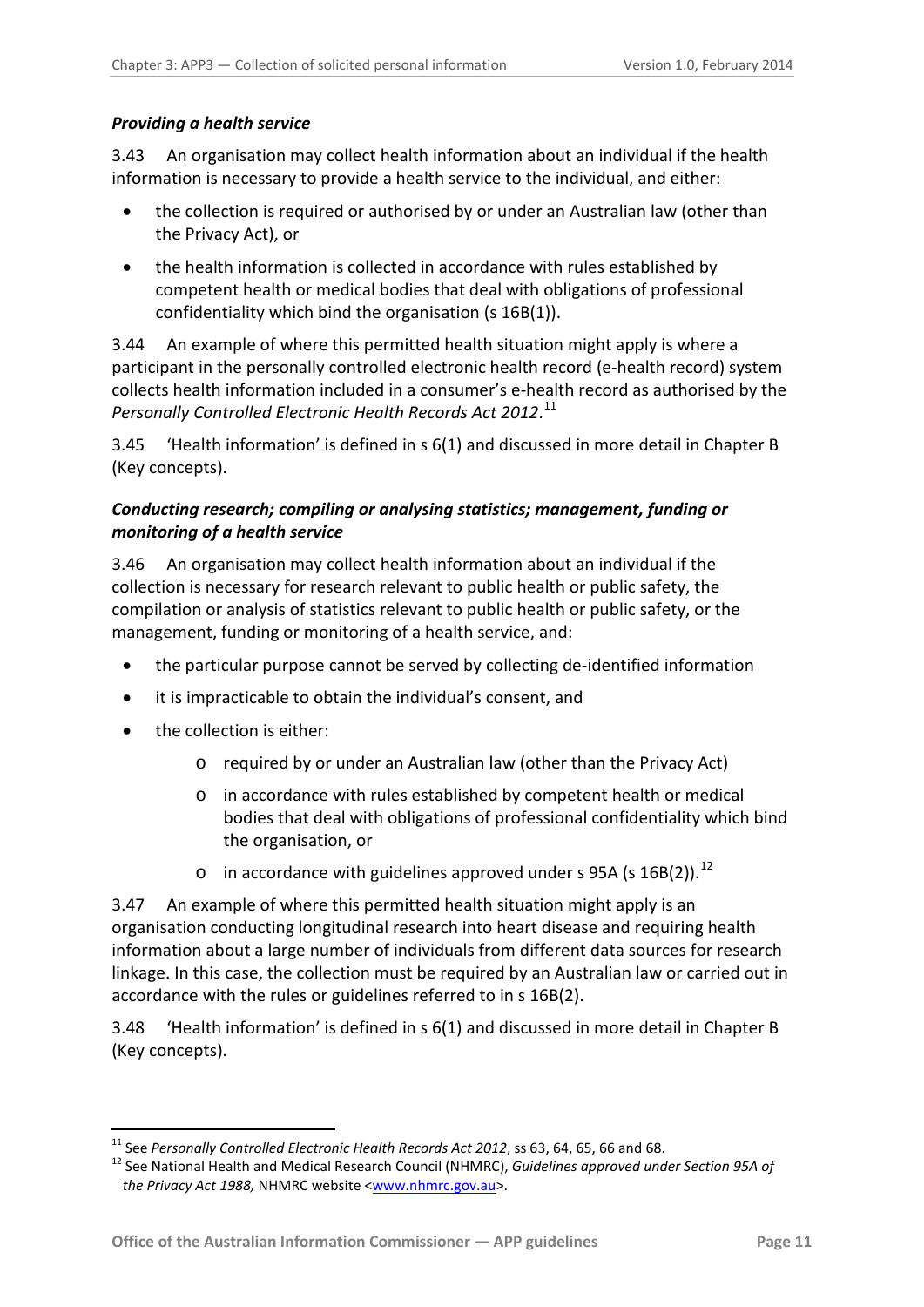#### <span id="page-10-0"></span>*Providing a health service*

3.43 An organisation may collect health information about an individual if the health information is necessary to provide a health service to the individual, and either:

- the collection is required or authorised by or under an Australian law (other than the Privacy Act), or
- the health information is collected in accordance with rules established by competent health or medical bodies that deal with obligations of professional confidentiality which bind the organisation (s 16B(1)).

3.44 An example of where this permitted health situation might apply is where a participant in the personally controlled electronic health record (e-health record) system collects health information included in a consumer's e-health record as authorised by the *Personally Controlled Electronic Health Records Act 2012*. [11](#page-9-3)

3.45 'Health information' is defined in s 6(1) and discussed in more detail in Chapter B (Key concepts).

#### <span id="page-10-1"></span>*Conducting research; compiling or analysing statistics; management, funding or monitoring of a health service*

3.46 An organisation may collect health information about an individual if the collection is necessary for research relevant to public health or public safety, the compilation or analysis of statistics relevant to public health or public safety, or the management, funding or monitoring of a health service, and:

- the particular purpose cannot be served by collecting de-identified information
- it is impracticable to obtain the individual's consent, and
- the collection is either:
	- o required by or under an Australian law (other than the Privacy Act)
	- o in accordance with rules established by competent health or medical bodies that deal with obligations of professional confidentiality which bind the organisation, or
	- $\circ$  in accordance with guidelines approved under s 95A (s 16B(2)).<sup>[12](#page-10-2)</sup>

3.47 An example of where this permitted health situation might apply is an organisation conducting longitudinal research into heart disease and requiring health information about a large number of individuals from different data sources for research linkage. In this case, the collection must be required by an Australian law or carried out in accordance with the rules or guidelines referred to in s 16B(2).

3.48 'Health information' is defined in s 6(1) and discussed in more detail in Chapter B (Key concepts).

<span id="page-10-3"></span> $^{11}$  See Personally Controlled Electronic Health Records Act 2012, ss 63, 64, 65, 66 and 68.

<span id="page-10-2"></span><sup>&</sup>lt;sup>12</sup> See National Health and Medical Research Council (NHMRC), Guidelines approved under Section 95A of *the Privacy Act 1988,* NHMRC website [<www.nhmrc.gov.au>](http://www.nhmrc.gov.au/).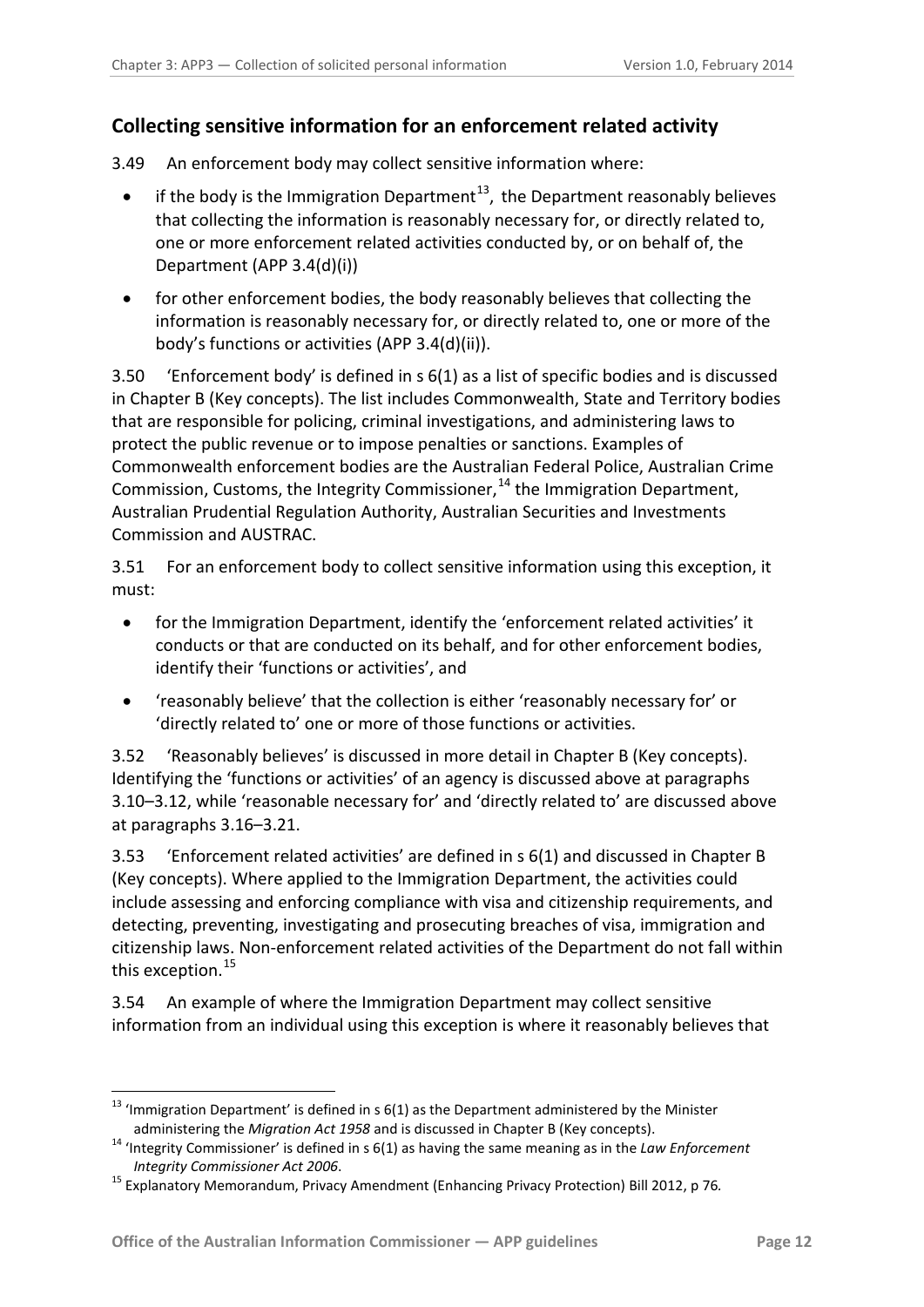### <span id="page-11-0"></span>**Collecting sensitive information for an enforcement related activity**

3.49 An enforcement body may collect sensitive information where:

- if the body is the Immigration Department<sup>[13](#page-10-3)</sup>, the Department reasonably believes that collecting the information is reasonably necessary for, or directly related to, one or more enforcement related activities conducted by, or on behalf of, the Department (APP 3.4(d)(i))
- for other enforcement bodies, the body reasonably believes that collecting the information is reasonably necessary for, or directly related to, one or more of the body's functions or activities (APP 3.4(d)(ii)).

3.50 'Enforcement body' is defined in s 6(1) as a list of specific bodies and is discussed in Chapter B (Key concepts). The list includes Commonwealth, State and Territory bodies that are responsible for policing, criminal investigations, and administering laws to protect the public revenue or to impose penalties or sanctions. Examples of Commonwealth enforcement bodies are the Australian Federal Police, Australian Crime Commission, Customs, the [Integrity Commissioner,](http://www.austlii.edu.au/au/legis/cth/consol_act/pa1988108/s6.html#integrity_commissioner)<sup>[14](#page-11-1)</sup> the Immigration Department, Australian Prudential Regulation Authority, Australian Securities and Investments Commission and AUSTRAC.

3.51 For an enforcement body to collect sensitive information using this exception, it must:

- for the Immigration Department, identify the 'enforcement related activities' it conducts or that are conducted on its behalf, and for other enforcement bodies, identify their 'functions or activities', and
- 'reasonably believe' that the collection is either 'reasonably necessary for' or 'directly related to' one or more of those functions or activities.

3.52 'Reasonably believes' is discussed in more detail in Chapter B (Key concepts). Identifying the 'functions or activities' of an agency is discussed above at paragraphs [3.10–](#page-4-5)[3.12,](#page-4-6) while 'reasonable necessary for' and 'directly related to' are discussed above at paragraphs [3.16–](#page-5-4)[3.21.](#page-6-3)

3.53 'Enforcement related activities' are defined in s 6(1) and discussed in Chapter B (Key concepts). Where applied to the Immigration Department, the activities could include assessing and enforcing compliance with visa and citizenship requirements, and detecting, preventing, investigating and prosecuting breaches of visa, immigration and citizenship laws. Non-enforcement related activities of the Department do not fall within this exception. [15](#page-11-2)

3.54 An example of where the Immigration Department may collect sensitive information from an individual using this exception is where it reasonably believes that

<sup>-</sup> $^{13}$  'Immigration Department' is defined in s 6(1) as the Department administered by the Minister

<span id="page-11-3"></span><span id="page-11-1"></span>administering the *Migration Act 1958* and is discussed in Chapter B (Key concepts).<br><sup>14</sup> 'Integrity Commissioner' is defined in s 6(1) as having the same meaning as in the *Law Enforcement Integrity Commissioner Act 2006*. 15 Explanatory Memorandum, Privacy Amendment (Enhancing Privacy Protection) Bill 2012, p 76*.*

<span id="page-11-2"></span>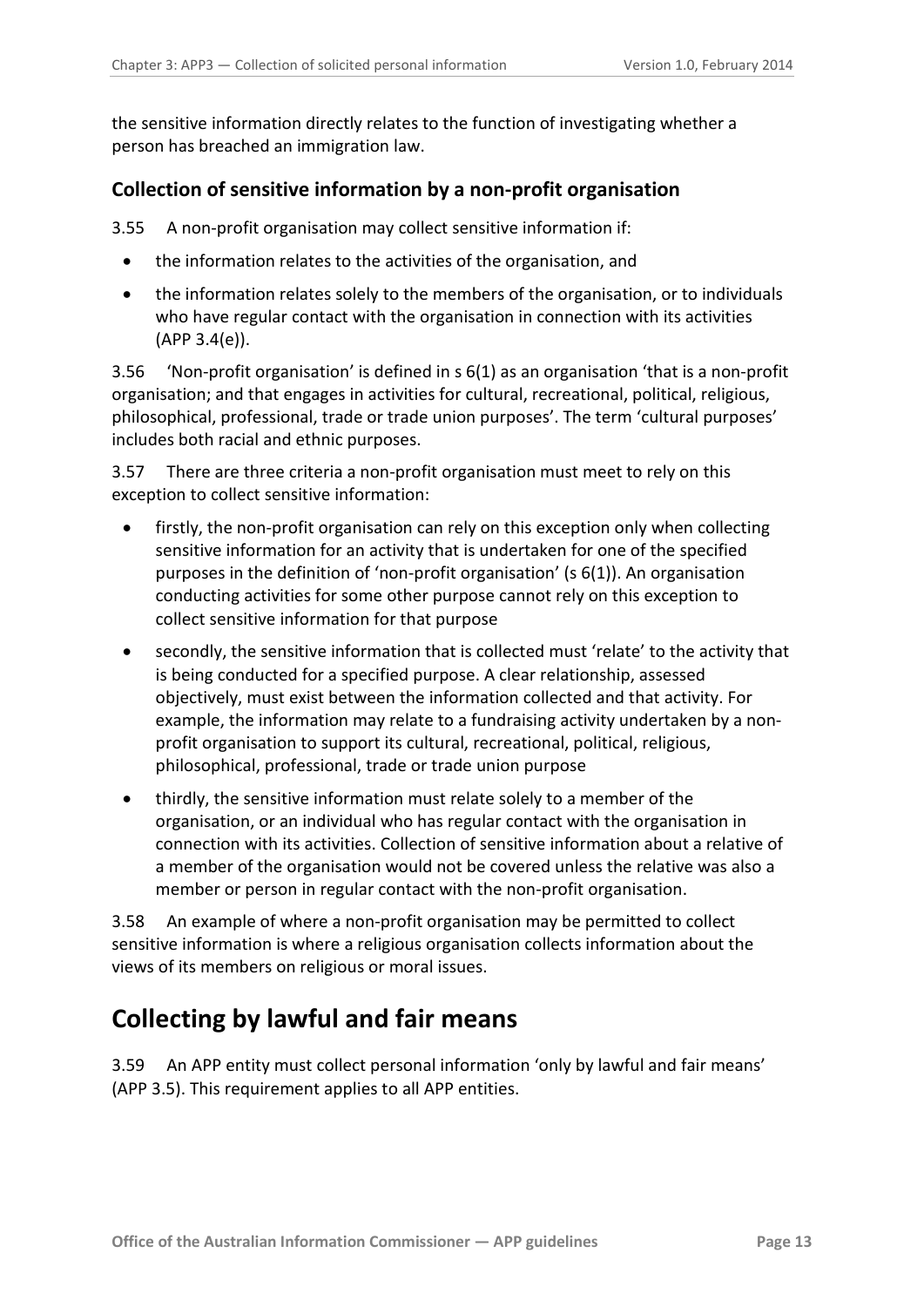the sensitive information directly relates to the function of investigating whether a person has breached an immigration law.

### <span id="page-12-0"></span>**Collection of sensitive information by a non-profit organisation**

3.55 A non-profit organisation may collect sensitive information if:

- the information relates to the activities of the organisation, and
- the information relates solely to the members of the organisation, or to individuals who have regular contact with the organisation in connection with its activities (APP 3.4(e)).

3.56 'Non-profit organisation' is defined in s 6(1) as an organisation 'that is a non-profit organisation; and that engages in activities for cultural, recreational, political, religious, philosophical, professional, trade or trade union purposes'. The term 'cultural purposes' includes both racial and ethnic purposes.

3.57 There are three criteria a non-profit organisation must meet to rely on this exception to collect sensitive information:

- firstly, the non-profit organisation can rely on this exception only when collecting sensitive information for an activity that is undertaken for one of the specified purposes in the definition of 'non-profit organisation' (s 6(1)). An organisation conducting activities for some other purpose cannot rely on this exception to collect sensitive information for that purpose
- secondly, the sensitive information that is collected must 'relate' to the activity that is being conducted for a specified purpose. A clear relationship, assessed objectively, must exist between the information collected and that activity. For example, the information may relate to a fundraising activity undertaken by a nonprofit organisation to support its cultural, recreational, political, religious, philosophical, professional, trade or trade union purpose
- thirdly, the sensitive information must relate solely to a member of the organisation, or an individual who has regular contact with the organisation in connection with its activities. Collection of sensitive information about a relative of a member of the organisation would not be covered unless the relative was also a member or person in regular contact with the non-profit organisation.

3.58 An example of where a non-profit organisation may be permitted to collect sensitive information is where a religious organisation collects information about the views of its members on religious or moral issues.

# <span id="page-12-1"></span>**Collecting by lawful and fair means**

3.59 An APP entity must collect personal information 'only by lawful and fair means' (APP 3.5). This requirement applies to all APP entities.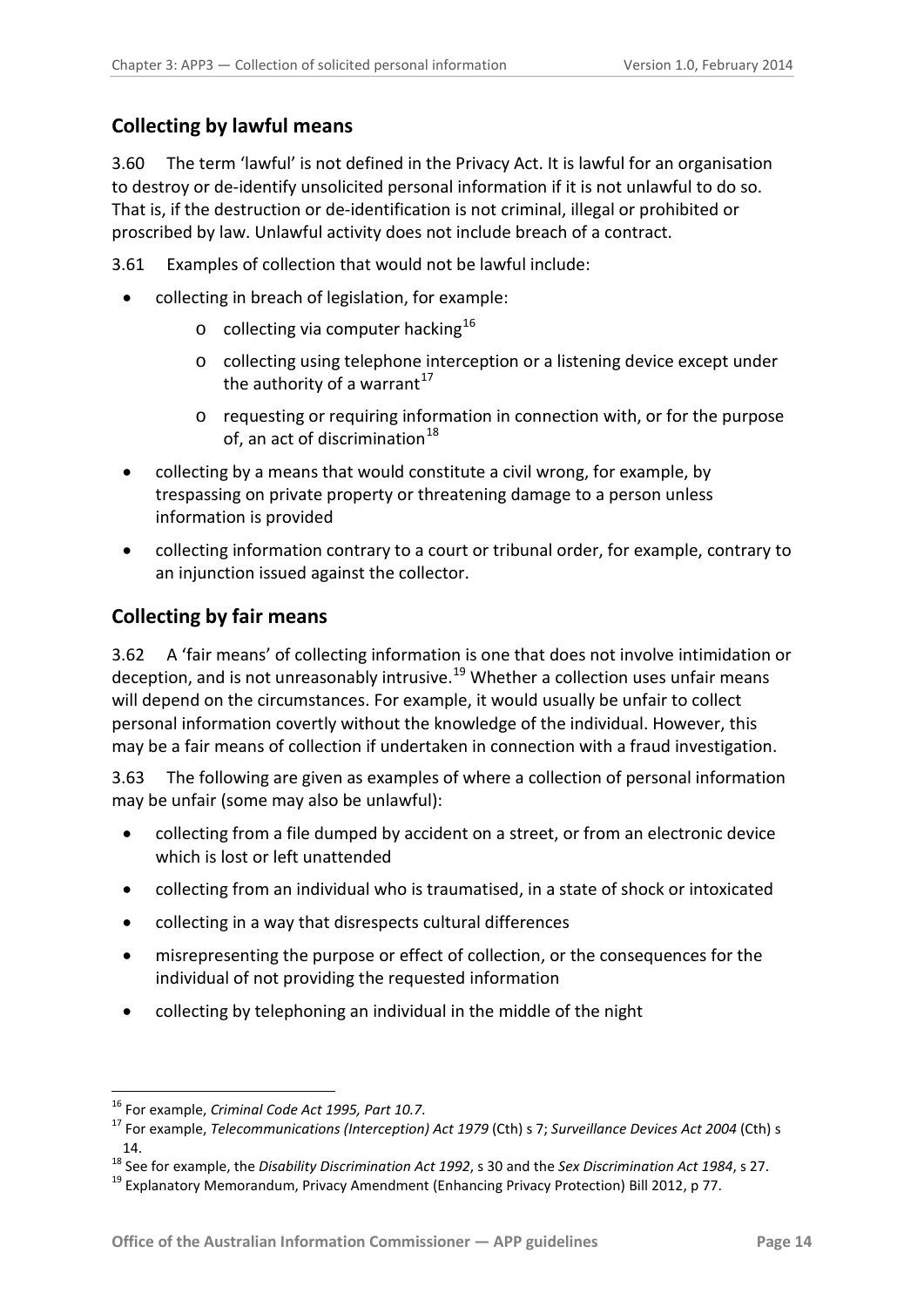# <span id="page-13-0"></span>**Collecting by lawful means**

3.60 The term 'lawful' is not defined in the Privacy Act. It is lawful for an organisation to destroy or de-identify unsolicited personal information if it is not unlawful to do so. That is, if the destruction or de-identification is not criminal, illegal or prohibited or proscribed by law. Unlawful activity does not include breach of a contract.

- 3.61 Examples of collection that would not be lawful include:
	- collecting in breach of legislation, for example:
		- $\circ$  collecting via computer hacking<sup>[16](#page-11-3)</sup>
		- o collecting using telephone interception or a listening device except under the authority of a warrant $17$
		- o requesting or requiring information in connection with, or for the purpose of, an act of discrimination<sup>18</sup>
	- collecting by a means that would constitute a civil wrong, for example, by trespassing on private property or threatening damage to a person unless information is provided
	- collecting information contrary to a court or tribunal order, for example, contrary to an injunction issued against the collector.

### <span id="page-13-1"></span>**Collecting by fair means**

3.62 A 'fair means' of collecting information is one that does not involve intimidation or deception, and is not unreasonably intrusive.<sup>[19](#page-13-4)</sup> Whether a collection uses unfair means will depend on the circumstances. For example, it would usually be unfair to collect personal information covertly without the knowledge of the individual. However, this may be a fair means of collection if undertaken in connection with a fraud investigation.

3.63 The following are given as examples of where a collection of personal information may be unfair (some may also be unlawful):

- collecting from a file dumped by accident on a street, or from an electronic device which is lost or left unattended
- collecting from an individual who is traumatised, in a state of shock or intoxicated
- collecting in a way that disrespects cultural differences
- misrepresenting the purpose or effect of collection, or the consequences for the individual of not providing the requested information
- collecting by telephoning an individual in the middle of the night

<span id="page-13-2"></span><sup>&</sup>lt;sup>16</sup> For example, *Criminal Code Act 1995, Part 10.7*.<br><sup>17</sup> For example, *Telecommunications (Interception) Act 1979* (Cth) s 7; *Surveillance Devices Act 2004* (Cth) s 14.

<span id="page-13-3"></span><sup>&</sup>lt;sup>18</sup> See for example, the *Disability Discrimination Act 1992*, s 30 and the *Sex Discrimination Act 1984*, s 27. 19<br><sup>19</sup> Explanatory Memorandum, Privacy Amendment (Enhancing Privacy Protection) Bill 2012, p 77.

<span id="page-13-4"></span>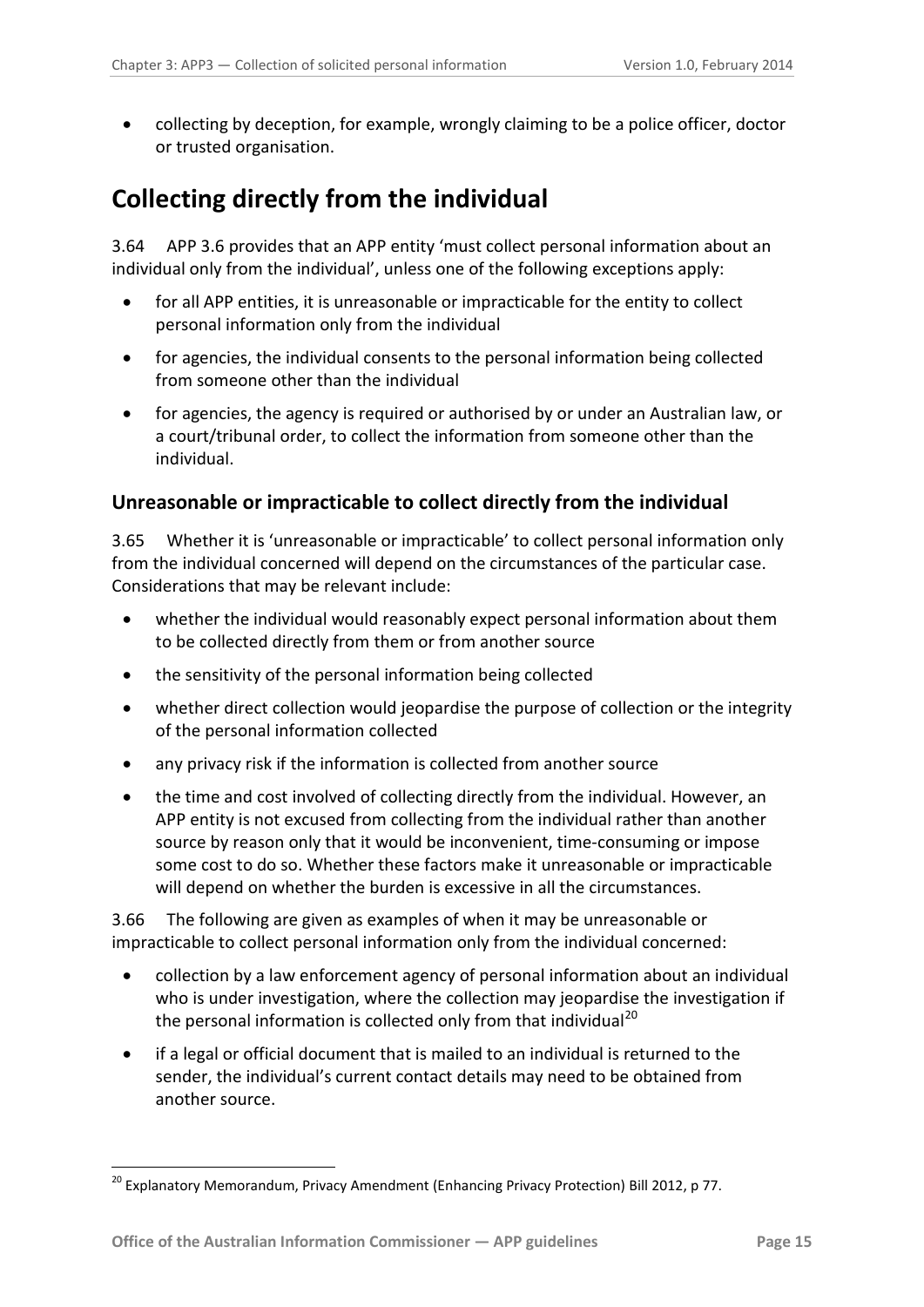• collecting by deception, for example, wrongly claiming to be a police officer, doctor or trusted organisation.

# <span id="page-14-0"></span>**Collecting directly from the individual**

3.64 APP 3.6 provides that an APP entity 'must collect personal information about an individual only from the individual', unless one of the following exceptions apply:

- for all APP entities, it is unreasonable or impracticable for the entity to collect personal information only from the individual
- for agencies, the individual consents to the personal information being collected from someone other than the individual
- for agencies, the agency is required or authorised by or under an Australian law, or a court/tribunal order, to collect the information from someone other than the individual.

# <span id="page-14-1"></span>**Unreasonable or impracticable to collect directly from the individual**

3.65 Whether it is 'unreasonable or impracticable' to collect personal information only from the individual concerned will depend on the circumstances of the particular case. Considerations that may be relevant include:

- whether the individual would reasonably expect personal information about them to be collected directly from them or from another source
- the sensitivity of the personal information being collected
- whether direct collection would jeopardise the purpose of collection or the integrity of the personal information collected
- any privacy risk if the information is collected from another source
- the time and cost involved of collecting directly from the individual. However, an APP entity is not excused from collecting from the individual rather than another source by reason only that it would be inconvenient, time-consuming or impose some cost to do so. Whether these factors make it unreasonable or impracticable will depend on whether the burden is excessive in all the circumstances.

3.66 The following are given as examples of when it may be unreasonable or impracticable to collect personal information only from the individual concerned:

- collection by a law enforcement agency of personal information about an individual who is under investigation, where the collection may jeopardise the investigation if the personal information is collected only from that individual<sup>[20](#page-13-4)</sup>
- if a legal or official document that is mailed to an individual is returned to the sender, the individual's current contact details may need to be obtained from another source.

<span id="page-14-2"></span> $^{20}$  Explanatory Memorandum, Privacy Amendment (Enhancing Privacy Protection) Bill 2012, p 77.